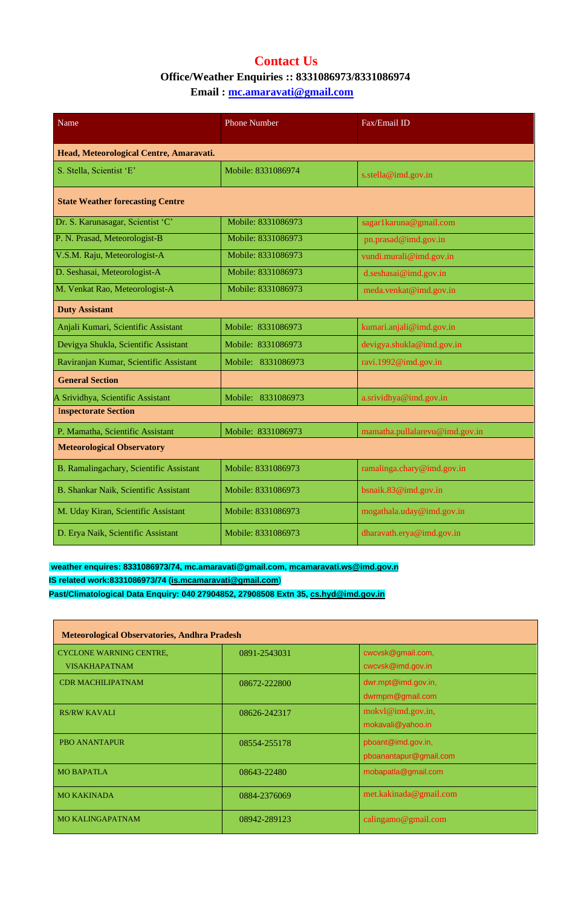## **Contact Us Office/Weather Enquiries :: 8331086973/8331086974 Email : [mc.amaravati@gmail.com](mailto:mc.amaravati@gmail.com)**

| Name                                         | <b>Phone Number</b> | Fax/Email ID                   |  |  |
|----------------------------------------------|---------------------|--------------------------------|--|--|
| Head, Meteorological Centre, Amaravati.      |                     |                                |  |  |
| S. Stella, Scientist 'E'                     | Mobile: 8331086974  | s.stella@imd.gov.in            |  |  |
| <b>State Weather forecasting Centre</b>      |                     |                                |  |  |
| Dr. S. Karunasagar, Scientist 'C'            | Mobile: 8331086973  | sagar1karuna@gmail.com         |  |  |
| P. N. Prasad, Meteorologist-B                | Mobile: 8331086973  | pn.prasad@imd.gov.in           |  |  |
| V.S.M. Raju, Meteorologist-A                 | Mobile: 8331086973  | vundi.murali@imd.gov.in        |  |  |
| D. Seshasai, Meteorologist-A                 | Mobile: 8331086973  | d.seshasai@imd.gov.in          |  |  |
| M. Venkat Rao, Meteorologist-A               | Mobile: 8331086973  | meda.venkat@imd.gov.in         |  |  |
| <b>Duty Assistant</b>                        |                     |                                |  |  |
| Anjali Kumari, Scientific Assistant          | Mobile: 8331086973  | kumari.anjali@imd.gov.in       |  |  |
| Devigya Shukla, Scientific Assistant         | Mobile: 8331086973  | devigya.shukla@imd.gov.in      |  |  |
| Raviranjan Kumar, Scientific Assistant       | Mobile: 8331086973  | ravi.1992@imd.gov.in           |  |  |
| <b>General Section</b>                       |                     |                                |  |  |
| A Srividhya, Scientific Assistant            | Mobile: 8331086973  | a.srividhya@imd.gov.in         |  |  |
| <b>Inspectorate Section</b>                  |                     |                                |  |  |
| P. Mamatha, Scientific Assistant             | Mobile: 8331086973  | mamatha.pullalarevu@imd.gov.in |  |  |
| <b>Meteorological Observatory</b>            |                     |                                |  |  |
| B. Ramalingachary, Scientific Assistant      | Mobile: 8331086973  | ramalinga.chary@imd.gov.in     |  |  |
| <b>B. Shankar Naik, Scientific Assistant</b> | Mobile: 8331086973  | bsnaik.83@imd.gov.in           |  |  |
| M. Uday Kiran, Scientific Assistant          | Mobile: 8331086973  | mogathala.uday@imd.gov.in      |  |  |
| D. Erya Naik, Scientific Assistant           | Mobile: 8331086973  | dharavath.erya@imd.gov.in      |  |  |

## **weather enquires: 8331086973/74, mc.amaravati@gmail.com, [mcamaravati.ws@imd.gov.n](mailto:mcamaravati.ws@imd.gov.n)**

**IS related work:8331086973/74 [\(is.mcamaravati@gmail.com](mailto:is.mcamaravati@gmail.com)**)

## **Past/Climatological Data Enquiry: 040 27904852, 27908508 Extn 35, [cs.hyd@imd.gov.in](mailto:cs.hyd@imd.gov.in)**

| <b>Meteorological Observatories, Andhra Pradesh</b>    |              |                                              |  |  |
|--------------------------------------------------------|--------------|----------------------------------------------|--|--|
| <b>CYCLONE WARNING CENTRE,</b><br><b>VISAKHAPATNAM</b> | 0891-2543031 | cwcvsk@gmail.com,<br>cwcvsk@imd.gov.in       |  |  |
| <b>CDR MACHILIPATNAM</b>                               | 08672-222800 | dwr.mpt@imd.gov.in,<br>dwrmpm@gmail.com      |  |  |
| <b>RS/RW KAVALI</b>                                    | 08626-242317 | mokyl@imd.gov.in,<br>mokavali@yahoo.in       |  |  |
| <b>PBO ANANTAPUR</b>                                   | 08554-255178 | pboant@imd.gov.in,<br>pboanantapur@gmail.com |  |  |
| <b>MO BAPATLA</b>                                      | 08643-22480  | mobapatla@gmail.com                          |  |  |
| <b>MO KAKINADA</b>                                     | 0884-2376069 | met.kakinada@gmail.com                       |  |  |
| <b>MO KALINGAPATNAM</b>                                | 08942-289123 | calingamo@gmail.com                          |  |  |